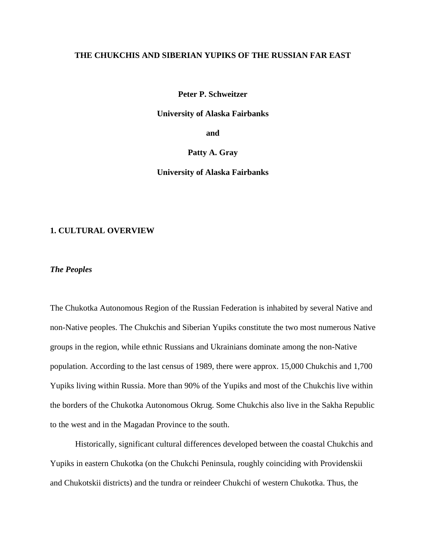# **THE CHUKCHIS AND SIBERIAN YUPIKS OF THE RUSSIAN FAR EAST**

**Peter P. Schweitzer** 

**University of Alaska Fairbanks** 

**and** 

**Patty A. Gray** 

**University of Alaska Fairbanks** 

# **1. CULTURAL OVERVIEW**

*The Peoples*

The Chukotka Autonomous Region of the Russian Federation is inhabited by several Native and non-Native peoples. The Chukchis and Siberian Yupiks constitute the two most numerous Native groups in the region, while ethnic Russians and Ukrainians dominate among the non-Native population. According to the last census of 1989, there were approx. 15,000 Chukchis and 1,700 Yupiks living within Russia. More than 90% of the Yupiks and most of the Chukchis live within the borders of the Chukotka Autonomous Okrug. Some Chukchis also live in the Sakha Republic to the west and in the Magadan Province to the south.

Historically, significant cultural differences developed between the coastal Chukchis and Yupiks in eastern Chukotka (on the Chukchi Peninsula, roughly coinciding with Providenskii and Chukotskii districts) and the tundra or reindeer Chukchi of western Chukotka. Thus, the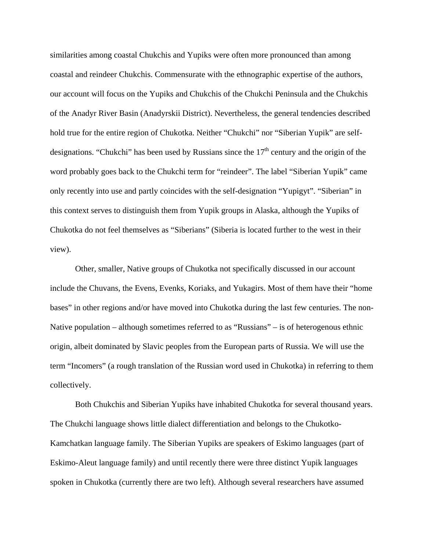similarities among coastal Chukchis and Yupiks were often more pronounced than among coastal and reindeer Chukchis. Commensurate with the ethnographic expertise of the authors, our account will focus on the Yupiks and Chukchis of the Chukchi Peninsula and the Chukchis of the Anadyr River Basin (Anadyrskii District). Nevertheless, the general tendencies described hold true for the entire region of Chukotka. Neither "Chukchi" nor "Siberian Yupik" are selfdesignations. "Chukchi" has been used by Russians since the  $17<sup>th</sup>$  century and the origin of the word probably goes back to the Chukchi term for "reindeer". The label "Siberian Yupik" came only recently into use and partly coincides with the self-designation "Yupigyt". "Siberian" in this context serves to distinguish them from Yupik groups in Alaska, although the Yupiks of Chukotka do not feel themselves as "Siberians" (Siberia is located further to the west in their view).

Other, smaller, Native groups of Chukotka not specifically discussed in our account include the Chuvans, the Evens, Evenks, Koriaks, and Yukagirs. Most of them have their "home bases" in other regions and/or have moved into Chukotka during the last few centuries. The non-Native population – although sometimes referred to as "Russians" – is of heterogenous ethnic origin, albeit dominated by Slavic peoples from the European parts of Russia. We will use the term "Incomers" (a rough translation of the Russian word used in Chukotka) in referring to them collectively.

Both Chukchis and Siberian Yupiks have inhabited Chukotka for several thousand years. The Chukchi language shows little dialect differentiation and belongs to the Chukotko-Kamchatkan language family. The Siberian Yupiks are speakers of Eskimo languages (part of Eskimo-Aleut language family) and until recently there were three distinct Yupik languages spoken in Chukotka (currently there are two left). Although several researchers have assumed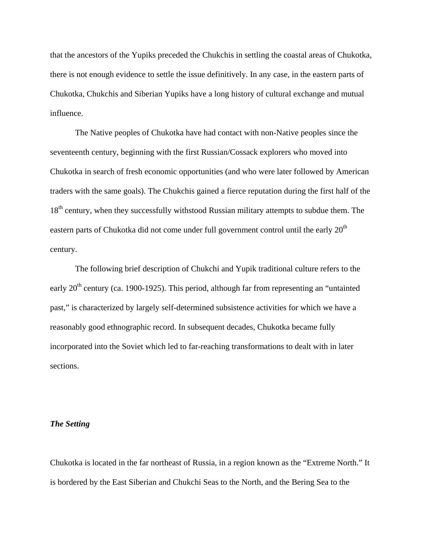that the ancestors of the Yupiks preceded the Chukchis in settling the coastal areas of Chukotka, there is not enough evidence to settle the issue definitively. In any case, in the eastern parts of Chukotka, Chukchis and Siberian Yupiks have a long history of cultural exchange and mutual influence.

The Native peoples of Chukotka have had contact with non-Native peoples since the seventeenth century, beginning with the first Russian/Cossack explorers who moved into Chukotka in search of fresh economic opportunities (and who were later followed by American traders with the same goals). The Chukchis gained a fierce reputation during the first half of the 18<sup>th</sup> century, when they successfully withstood Russian military attempts to subdue them. The eastern parts of Chukotka did not come under full government control until the early  $20<sup>th</sup>$ century.

The following brief description of Chukchi and Yupik traditional culture refers to the early  $20<sup>th</sup>$  century (ca. 1900-1925). This period, although far from representing an "untainted" past," is characterized by largely self-determined subsistence activities for which we have a reasonably good ethnographic record. In subsequent decades, Chukotka became fully incorporated into the Soviet which led to far-reaching transformations to dealt with in later sections.

#### *The Setting*

Chukotka is located in the far northeast of Russia, in a region known as the "Extreme North." It is bordered by the East Siberian and Chukchi Seas to the North, and the Bering Sea to the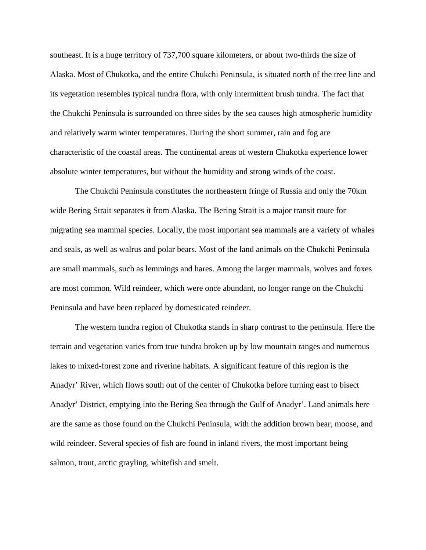southeast. It is a huge territory of 737,700 square kilometers, or about two-thirds the size of Alaska. Most of Chukotka, and the entire Chukchi Peninsula, is situated north of the tree line and its vegetation resembles typical tundra flora, with only intermittent brush tundra. The fact that the Chukchi Peninsula is surrounded on three sides by the sea causes high atmospheric humidity and relatively warm winter temperatures. During the short summer, rain and fog are characteristic of the coastal areas. The continental areas of western Chukotka experience lower absolute winter temperatures, but without the humidity and strong winds of the coast.

The Chukchi Peninsula constitutes the northeastern fringe of Russia and only the 70km wide Bering Strait separates it from Alaska. The Bering Strait is a major transit route for migrating sea mammal species. Locally, the most important sea mammals are a variety of whales and seals, as well as walrus and polar bears. Most of the land animals on the Chukchi Peninsula are small mammals, such as lemmings and hares. Among the larger mammals, wolves and foxes are most common. Wild reindeer, which were once abundant, no longer range on the Chukchi Peninsula and have been replaced by domesticated reindeer.

The western tundra region of Chukotka stands in sharp contrast to the peninsula. Here the terrain and vegetation varies from true tundra broken up by low mountain ranges and numerous lakes to mixed-forest zone and riverine habitats. A significant feature of this region is the Anadyr' River, which flows south out of the center of Chukotka before turning east to bisect Anadyr' District, emptying into the Bering Sea through the Gulf of Anadyr'. Land animals here are the same as those found on the Chukchi Peninsula, with the addition brown bear, moose, and wild reindeer. Several species of fish are found in inland rivers, the most important being salmon, trout, arctic grayling, whitefish and smelt.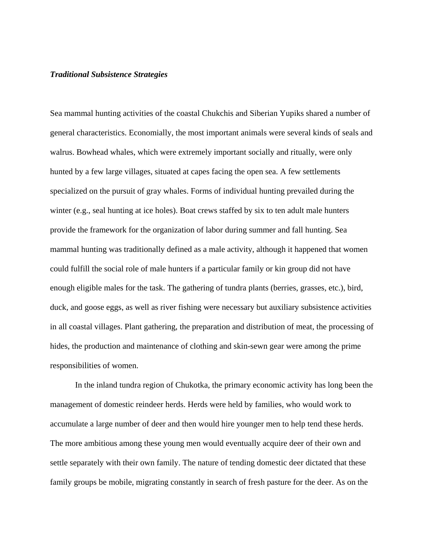### *Traditional Subsistence Strategies*

Sea mammal hunting activities of the coastal Chukchis and Siberian Yupiks shared a number of general characteristics. Economially, the most important animals were several kinds of seals and walrus. Bowhead whales, which were extremely important socially and ritually, were only hunted by a few large villages, situated at capes facing the open sea. A few settlements specialized on the pursuit of gray whales. Forms of individual hunting prevailed during the winter (e.g., seal hunting at ice holes). Boat crews staffed by six to ten adult male hunters provide the framework for the organization of labor during summer and fall hunting. Sea mammal hunting was traditionally defined as a male activity, although it happened that women could fulfill the social role of male hunters if a particular family or kin group did not have enough eligible males for the task. The gathering of tundra plants (berries, grasses, etc.), bird, duck, and goose eggs, as well as river fishing were necessary but auxiliary subsistence activities in all coastal villages. Plant gathering, the preparation and distribution of meat, the processing of hides, the production and maintenance of clothing and skin-sewn gear were among the prime responsibilities of women.

In the inland tundra region of Chukotka, the primary economic activity has long been the management of domestic reindeer herds. Herds were held by families, who would work to accumulate a large number of deer and then would hire younger men to help tend these herds. The more ambitious among these young men would eventually acquire deer of their own and settle separately with their own family. The nature of tending domestic deer dictated that these family groups be mobile, migrating constantly in search of fresh pasture for the deer. As on the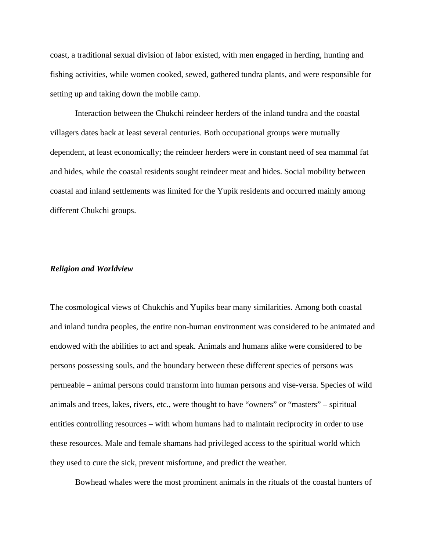coast, a traditional sexual division of labor existed, with men engaged in herding, hunting and fishing activities, while women cooked, sewed, gathered tundra plants, and were responsible for setting up and taking down the mobile camp.

Interaction between the Chukchi reindeer herders of the inland tundra and the coastal villagers dates back at least several centuries. Both occupational groups were mutually dependent, at least economically; the reindeer herders were in constant need of sea mammal fat and hides, while the coastal residents sought reindeer meat and hides. Social mobility between coastal and inland settlements was limited for the Yupik residents and occurred mainly among different Chukchi groups.

# *Religion and Worldview*

The cosmological views of Chukchis and Yupiks bear many similarities. Among both coastal and inland tundra peoples, the entire non-human environment was considered to be animated and endowed with the abilities to act and speak. Animals and humans alike were considered to be persons possessing souls, and the boundary between these different species of persons was permeable – animal persons could transform into human persons and vise-versa. Species of wild animals and trees, lakes, rivers, etc., were thought to have "owners" or "masters" – spiritual entities controlling resources – with whom humans had to maintain reciprocity in order to use these resources. Male and female shamans had privileged access to the spiritual world which they used to cure the sick, prevent misfortune, and predict the weather.

Bowhead whales were the most prominent animals in the rituals of the coastal hunters of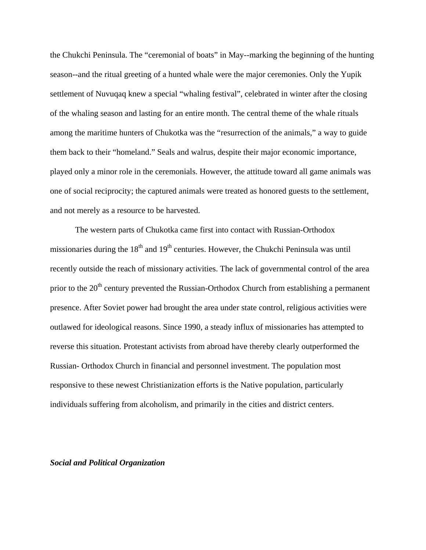the Chukchi Peninsula. The "ceremonial of boats" in May--marking the beginning of the hunting season--and the ritual greeting of a hunted whale were the major ceremonies. Only the Yupik settlement of Nuvuqaq knew a special "whaling festival", celebrated in winter after the closing of the whaling season and lasting for an entire month. The central theme of the whale rituals among the maritime hunters of Chukotka was the "resurrection of the animals," a way to guide them back to their "homeland." Seals and walrus, despite their major economic importance, played only a minor role in the ceremonials. However, the attitude toward all game animals was one of social reciprocity; the captured animals were treated as honored guests to the settlement, and not merely as a resource to be harvested.

The western parts of Chukotka came first into contact with Russian-Orthodox missionaries during the  $18<sup>th</sup>$  and  $19<sup>th</sup>$  centuries. However, the Chukchi Peninsula was until recently outside the reach of missionary activities. The lack of governmental control of the area prior to the 20<sup>th</sup> century prevented the Russian-Orthodox Church from establishing a permanent presence. After Soviet power had brought the area under state control, religious activities were outlawed for ideological reasons. Since 1990, a steady influx of missionaries has attempted to reverse this situation. Protestant activists from abroad have thereby clearly outperformed the Russian- Orthodox Church in financial and personnel investment. The population most responsive to these newest Christianization efforts is the Native population, particularly individuals suffering from alcoholism, and primarily in the cities and district centers.

# *Social and Political Organization*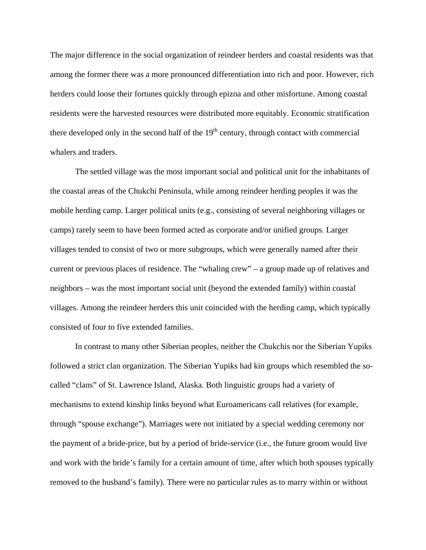The major difference in the social organization of reindeer herders and coastal residents was that among the former there was a more pronounced differentiation into rich and poor. However, rich herders could loose their fortunes quickly through epizoa and other misfortune. Among coastal residents were the harvested resources were distributed more equitably. Economic stratification there developed only in the second half of the  $19<sup>th</sup>$  century, through contact with commercial whalers and traders.

The settled village was the most important social and political unit for the inhabitants of the coastal areas of the Chukchi Peninsula, while among reindeer herding peoples it was the mobile herding camp. Larger political units (e.g., consisting of several neighboring villages or camps) rarely seem to have been formed acted as corporate and/or unified groups. Larger villages tended to consist of two or more subgroups, which were generally named after their current or previous places of residence. The "whaling crew" – a group made up of relatives and neighbors – was the most important social unit (beyond the extended family) within coastal villages. Among the reindeer herders this unit coincided with the herding camp, which typically consisted of four to five extended families.

In contrast to many other Siberian peoples, neither the Chukchis nor the Siberian Yupiks followed a strict clan organization. The Siberian Yupiks had kin groups which resembled the socalled "clans" of St. Lawrence Island, Alaska. Both linguistic groups had a variety of mechanisms to extend kinship links beyond what Euroamericans call relatives (for example, through "spouse exchange"). Marriages were not initiated by a special wedding ceremony nor the payment of a bride-price, but by a period of bride-service (i.e., the future groom would live and work with the bride's family for a certain amount of time, after which both spouses typically removed to the husband's family). There were no particular rules as to marry within or without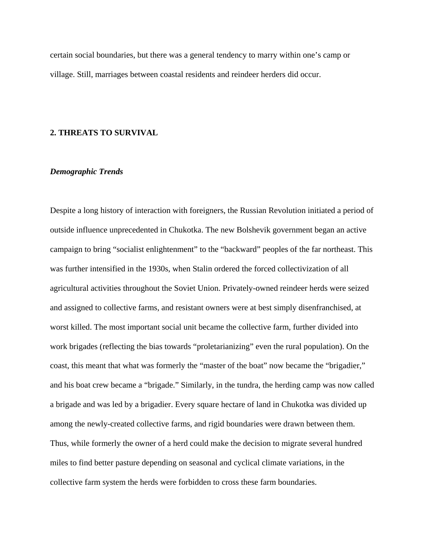certain social boundaries, but there was a general tendency to marry within one's camp or village. Still, marriages between coastal residents and reindeer herders did occur.

#### **2. THREATS TO SURVIVAL**

# *Demographic Trends*

Despite a long history of interaction with foreigners, the Russian Revolution initiated a period of outside influence unprecedented in Chukotka. The new Bolshevik government began an active campaign to bring "socialist enlightenment" to the "backward" peoples of the far northeast. This was further intensified in the 1930s, when Stalin ordered the forced collectivization of all agricultural activities throughout the Soviet Union. Privately-owned reindeer herds were seized and assigned to collective farms, and resistant owners were at best simply disenfranchised, at worst killed. The most important social unit became the collective farm, further divided into work brigades (reflecting the bias towards "proletarianizing" even the rural population). On the coast, this meant that what was formerly the "master of the boat" now became the "brigadier," and his boat crew became a "brigade." Similarly, in the tundra, the herding camp was now called a brigade and was led by a brigadier. Every square hectare of land in Chukotka was divided up among the newly-created collective farms, and rigid boundaries were drawn between them. Thus, while formerly the owner of a herd could make the decision to migrate several hundred miles to find better pasture depending on seasonal and cyclical climate variations, in the collective farm system the herds were forbidden to cross these farm boundaries.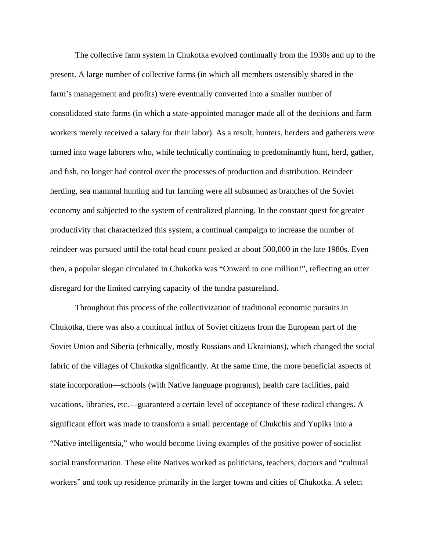The collective farm system in Chukotka evolved continually from the 1930s and up to the present. A large number of collective farms (in which all members ostensibly shared in the farm's management and profits) were eventually converted into a smaller number of consolidated state farms (in which a state-appointed manager made all of the decisions and farm workers merely received a salary for their labor). As a result, hunters, herders and gatherers were turned into wage laborers who, while technically continuing to predominantly hunt, herd, gather, and fish, no longer had control over the processes of production and distribution. Reindeer herding, sea mammal hunting and fur farming were all subsumed as branches of the Soviet economy and subjected to the system of centralized planning. In the constant quest for greater productivity that characterized this system, a continual campaign to increase the number of reindeer was pursued until the total head count peaked at about 500,000 in the late 1980s. Even then, a popular slogan circulated in Chukotka was "Onward to one million!", reflecting an utter disregard for the limited carrying capacity of the tundra pastureland.

Throughout this process of the collectivization of traditional economic pursuits in Chukotka, there was also a continual influx of Soviet citizens from the European part of the Soviet Union and Siberia (ethnically, mostly Russians and Ukrainians), which changed the social fabric of the villages of Chukotka significantly. At the same time, the more beneficial aspects of state incorporation—schools (with Native language programs), health care facilities, paid vacations, libraries, etc.—guaranteed a certain level of acceptance of these radical changes. A significant effort was made to transform a small percentage of Chukchis and Yupiks into a "Native intelligentsia," who would become living examples of the positive power of socialist social transformation. These elite Natives worked as politicians, teachers, doctors and "cultural workers" and took up residence primarily in the larger towns and cities of Chukotka. A select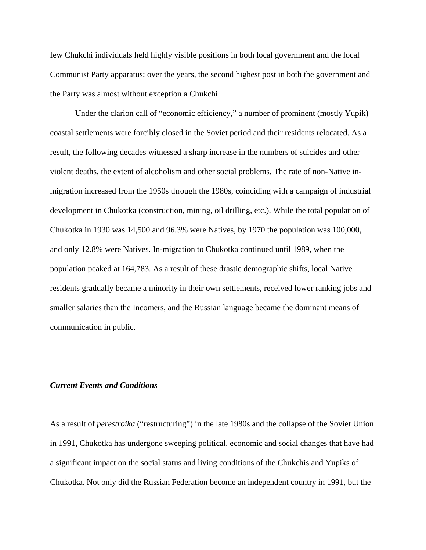few Chukchi individuals held highly visible positions in both local government and the local Communist Party apparatus; over the years, the second highest post in both the government and the Party was almost without exception a Chukchi.

Under the clarion call of "economic efficiency," a number of prominent (mostly Yupik) coastal settlements were forcibly closed in the Soviet period and their residents relocated. As a result, the following decades witnessed a sharp increase in the numbers of suicides and other violent deaths, the extent of alcoholism and other social problems. The rate of non-Native inmigration increased from the 1950s through the 1980s, coinciding with a campaign of industrial development in Chukotka (construction, mining, oil drilling, etc.). While the total population of Chukotka in 1930 was 14,500 and 96.3% were Natives, by 1970 the population was 100,000, and only 12.8% were Natives. In-migration to Chukotka continued until 1989, when the population peaked at 164,783. As a result of these drastic demographic shifts, local Native residents gradually became a minority in their own settlements, received lower ranking jobs and smaller salaries than the Incomers, and the Russian language became the dominant means of communication in public.

### *Current Events and Conditions*

As a result of *perestroika* ("restructuring") in the late 1980s and the collapse of the Soviet Union in 1991, Chukotka has undergone sweeping political, economic and social changes that have had a significant impact on the social status and living conditions of the Chukchis and Yupiks of Chukotka. Not only did the Russian Federation become an independent country in 1991, but the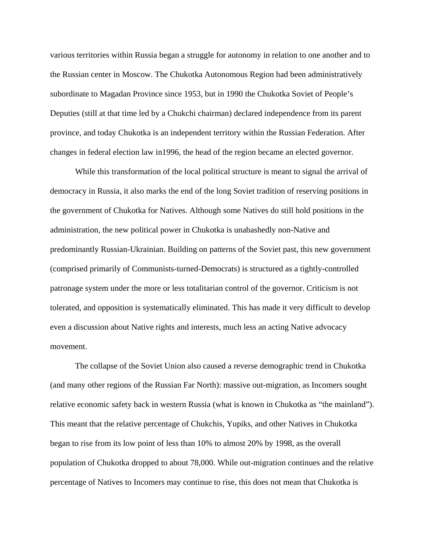various territories within Russia began a struggle for autonomy in relation to one another and to the Russian center in Moscow. The Chukotka Autonomous Region had been administratively subordinate to Magadan Province since 1953, but in 1990 the Chukotka Soviet of People's Deputies (still at that time led by a Chukchi chairman) declared independence from its parent province, and today Chukotka is an independent territory within the Russian Federation. After changes in federal election law in1996, the head of the region became an elected governor.

While this transformation of the local political structure is meant to signal the arrival of democracy in Russia, it also marks the end of the long Soviet tradition of reserving positions in the government of Chukotka for Natives. Although some Natives do still hold positions in the administration, the new political power in Chukotka is unabashedly non-Native and predominantly Russian-Ukrainian. Building on patterns of the Soviet past, this new government (comprised primarily of Communists-turned-Democrats) is structured as a tightly-controlled patronage system under the more or less totalitarian control of the governor. Criticism is not tolerated, and opposition is systematically eliminated. This has made it very difficult to develop even a discussion about Native rights and interests, much less an acting Native advocacy movement.

The collapse of the Soviet Union also caused a reverse demographic trend in Chukotka (and many other regions of the Russian Far North): massive out-migration, as Incomers sought relative economic safety back in western Russia (what is known in Chukotka as "the mainland"). This meant that the relative percentage of Chukchis, Yupiks, and other Natives in Chukotka began to rise from its low point of less than 10% to almost 20% by 1998, as the overall population of Chukotka dropped to about 78,000. While out-migration continues and the relative percentage of Natives to Incomers may continue to rise, this does not mean that Chukotka is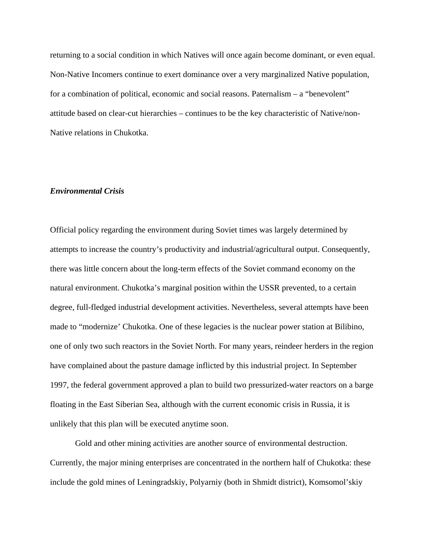returning to a social condition in which Natives will once again become dominant, or even equal. Non-Native Incomers continue to exert dominance over a very marginalized Native population, for a combination of political, economic and social reasons. Paternalism – a "benevolent" attitude based on clear-cut hierarchies – continues to be the key characteristic of Native/non-Native relations in Chukotka.

### *Environmental Crisis*

Official policy regarding the environment during Soviet times was largely determined by attempts to increase the country's productivity and industrial/agricultural output. Consequently, there was little concern about the long-term effects of the Soviet command economy on the natural environment. Chukotka's marginal position within the USSR prevented, to a certain degree, full-fledged industrial development activities. Nevertheless, several attempts have been made to "modernize' Chukotka. One of these legacies is the nuclear power station at Bilibino, one of only two such reactors in the Soviet North. For many years, reindeer herders in the region have complained about the pasture damage inflicted by this industrial project. In September 1997, the federal government approved a plan to build two pressurized-water reactors on a barge floating in the East Siberian Sea, although with the current economic crisis in Russia, it is unlikely that this plan will be executed anytime soon.

Gold and other mining activities are another source of environmental destruction. Currently, the major mining enterprises are concentrated in the northern half of Chukotka: these include the gold mines of Leningradskiy, Polyarniy (both in Shmidt district), Komsomol'skiy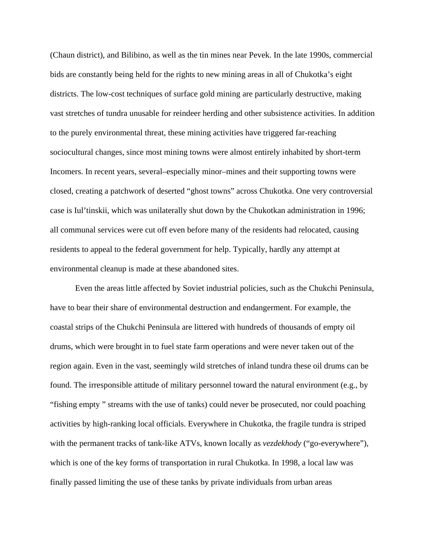(Chaun district), and Bilibino, as well as the tin mines near Pevek. In the late 1990s, commercial bids are constantly being held for the rights to new mining areas in all of Chukotka's eight districts. The low-cost techniques of surface gold mining are particularly destructive, making vast stretches of tundra unusable for reindeer herding and other subsistence activities. In addition to the purely environmental threat, these mining activities have triggered far-reaching sociocultural changes, since most mining towns were almost entirely inhabited by short-term Incomers. In recent years, several–especially minor–mines and their supporting towns were closed, creating a patchwork of deserted "ghost towns" across Chukotka. One very controversial case is Iul'tinskii, which was unilaterally shut down by the Chukotkan administration in 1996; all communal services were cut off even before many of the residents had relocated, causing residents to appeal to the federal government for help. Typically, hardly any attempt at environmental cleanup is made at these abandoned sites.

Even the areas little affected by Soviet industrial policies, such as the Chukchi Peninsula, have to bear their share of environmental destruction and endangerment. For example, the coastal strips of the Chukchi Peninsula are littered with hundreds of thousands of empty oil drums, which were brought in to fuel state farm operations and were never taken out of the region again. Even in the vast, seemingly wild stretches of inland tundra these oil drums can be found. The irresponsible attitude of military personnel toward the natural environment (e.g., by "fishing empty " streams with the use of tanks) could never be prosecuted, nor could poaching activities by high-ranking local officials. Everywhere in Chukotka, the fragile tundra is striped with the permanent tracks of tank-like ATVs, known locally as *vezdekhody* ("go-everywhere"), which is one of the key forms of transportation in rural Chukotka. In 1998, a local law was finally passed limiting the use of these tanks by private individuals from urban areas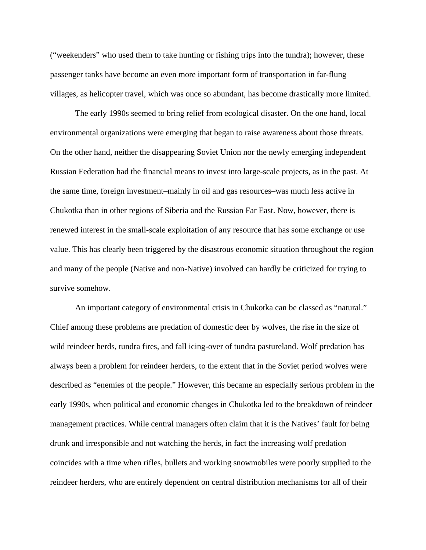("weekenders" who used them to take hunting or fishing trips into the tundra); however, these passenger tanks have become an even more important form of transportation in far-flung villages, as helicopter travel, which was once so abundant, has become drastically more limited.

The early 1990s seemed to bring relief from ecological disaster. On the one hand, local environmental organizations were emerging that began to raise awareness about those threats. On the other hand, neither the disappearing Soviet Union nor the newly emerging independent Russian Federation had the financial means to invest into large-scale projects, as in the past. At the same time, foreign investment–mainly in oil and gas resources–was much less active in Chukotka than in other regions of Siberia and the Russian Far East. Now, however, there is renewed interest in the small-scale exploitation of any resource that has some exchange or use value. This has clearly been triggered by the disastrous economic situation throughout the region and many of the people (Native and non-Native) involved can hardly be criticized for trying to survive somehow.

An important category of environmental crisis in Chukotka can be classed as "natural." Chief among these problems are predation of domestic deer by wolves, the rise in the size of wild reindeer herds, tundra fires, and fall icing-over of tundra pastureland. Wolf predation has always been a problem for reindeer herders, to the extent that in the Soviet period wolves were described as "enemies of the people." However, this became an especially serious problem in the early 1990s, when political and economic changes in Chukotka led to the breakdown of reindeer management practices. While central managers often claim that it is the Natives' fault for being drunk and irresponsible and not watching the herds, in fact the increasing wolf predation coincides with a time when rifles, bullets and working snowmobiles were poorly supplied to the reindeer herders, who are entirely dependent on central distribution mechanisms for all of their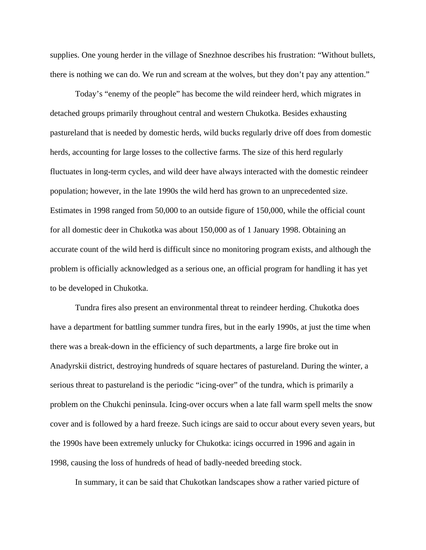supplies. One young herder in the village of Snezhnoe describes his frustration: "Without bullets, there is nothing we can do. We run and scream at the wolves, but they don't pay any attention."

Today's "enemy of the people" has become the wild reindeer herd, which migrates in detached groups primarily throughout central and western Chukotka. Besides exhausting pastureland that is needed by domestic herds, wild bucks regularly drive off does from domestic herds, accounting for large losses to the collective farms. The size of this herd regularly fluctuates in long-term cycles, and wild deer have always interacted with the domestic reindeer population; however, in the late 1990s the wild herd has grown to an unprecedented size. Estimates in 1998 ranged from 50,000 to an outside figure of 150,000, while the official count for all domestic deer in Chukotka was about 150,000 as of 1 January 1998. Obtaining an accurate count of the wild herd is difficult since no monitoring program exists, and although the problem is officially acknowledged as a serious one, an official program for handling it has yet to be developed in Chukotka.

Tundra fires also present an environmental threat to reindeer herding. Chukotka does have a department for battling summer tundra fires, but in the early 1990s, at just the time when there was a break-down in the efficiency of such departments, a large fire broke out in Anadyrskii district, destroying hundreds of square hectares of pastureland. During the winter, a serious threat to pastureland is the periodic "icing-over" of the tundra, which is primarily a problem on the Chukchi peninsula. Icing-over occurs when a late fall warm spell melts the snow cover and is followed by a hard freeze. Such icings are said to occur about every seven years, but the 1990s have been extremely unlucky for Chukotka: icings occurred in 1996 and again in 1998, causing the loss of hundreds of head of badly-needed breeding stock.

In summary, it can be said that Chukotkan landscapes show a rather varied picture of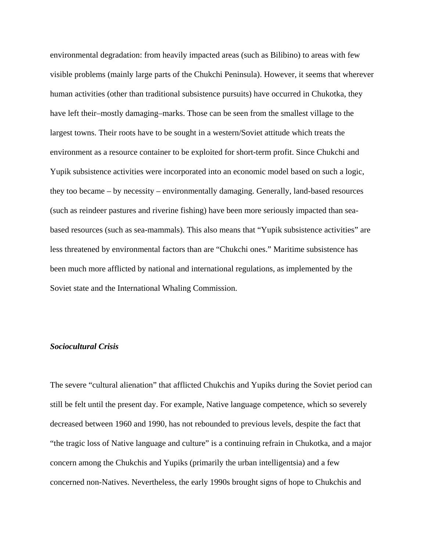environmental degradation: from heavily impacted areas (such as Bilibino) to areas with few visible problems (mainly large parts of the Chukchi Peninsula). However, it seems that wherever human activities (other than traditional subsistence pursuits) have occurred in Chukotka, they have left their–mostly damaging–marks. Those can be seen from the smallest village to the largest towns. Their roots have to be sought in a western/Soviet attitude which treats the environment as a resource container to be exploited for short-term profit. Since Chukchi and Yupik subsistence activities were incorporated into an economic model based on such a logic, they too became – by necessity – environmentally damaging. Generally, land-based resources (such as reindeer pastures and riverine fishing) have been more seriously impacted than seabased resources (such as sea-mammals). This also means that "Yupik subsistence activities" are less threatened by environmental factors than are "Chukchi ones." Maritime subsistence has been much more afflicted by national and international regulations, as implemented by the Soviet state and the International Whaling Commission.

# *Sociocultural Crisis*

The severe "cultural alienation" that afflicted Chukchis and Yupiks during the Soviet period can still be felt until the present day. For example, Native language competence, which so severely decreased between 1960 and 1990, has not rebounded to previous levels, despite the fact that "the tragic loss of Native language and culture" is a continuing refrain in Chukotka, and a major concern among the Chukchis and Yupiks (primarily the urban intelligentsia) and a few concerned non-Natives. Nevertheless, the early 1990s brought signs of hope to Chukchis and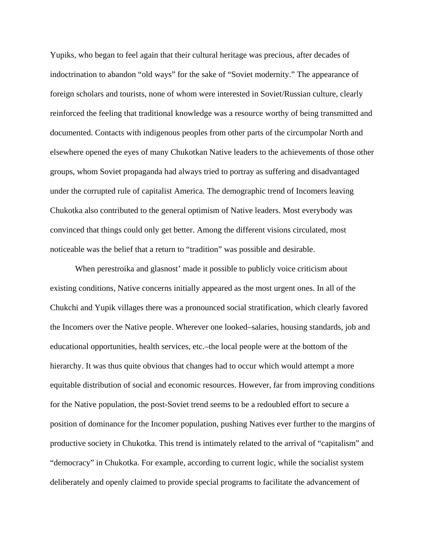Yupiks, who began to feel again that their cultural heritage was precious, after decades of indoctrination to abandon "old ways" for the sake of "Soviet modernity." The appearance of foreign scholars and tourists, none of whom were interested in Soviet/Russian culture, clearly reinforced the feeling that traditional knowledge was a resource worthy of being transmitted and documented. Contacts with indigenous peoples from other parts of the circumpolar North and elsewhere opened the eyes of many Chukotkan Native leaders to the achievements of those other groups, whom Soviet propaganda had always tried to portray as suffering and disadvantaged under the corrupted rule of capitalist America. The demographic trend of Incomers leaving Chukotka also contributed to the general optimism of Native leaders. Most everybody was convinced that things could only get better. Among the different visions circulated, most noticeable was the belief that a return to "tradition" was possible and desirable.

When perestroika and glasnost' made it possible to publicly voice criticism about existing conditions, Native concerns initially appeared as the most urgent ones. In all of the Chukchi and Yupik villages there was a pronounced social stratification, which clearly favored the Incomers over the Native people. Wherever one looked–salaries, housing standards, job and educational opportunities, health services, etc.–the local people were at the bottom of the hierarchy. It was thus quite obvious that changes had to occur which would attempt a more equitable distribution of social and economic resources. However, far from improving conditions for the Native population, the post-Soviet trend seems to be a redoubled effort to secure a position of dominance for the Incomer population, pushing Natives ever further to the margins of productive society in Chukotka. This trend is intimately related to the arrival of "capitalism" and "democracy" in Chukotka. For example, according to current logic, while the socialist system deliberately and openly claimed to provide special programs to facilitate the advancement of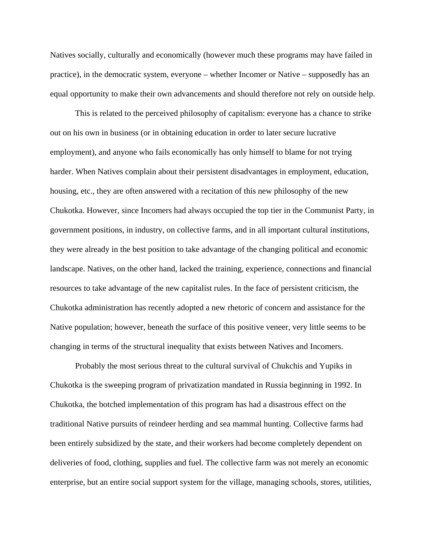Natives socially, culturally and economically (however much these programs may have failed in practice), in the democratic system, everyone – whether Incomer or Native – supposedly has an equal opportunity to make their own advancements and should therefore not rely on outside help.

 This is related to the perceived philosophy of capitalism: everyone has a chance to strike out on his own in business (or in obtaining education in order to later secure lucrative employment), and anyone who fails economically has only himself to blame for not trying harder. When Natives complain about their persistent disadvantages in employment, education, housing, etc., they are often answered with a recitation of this new philosophy of the new Chukotka. However, since Incomers had always occupied the top tier in the Communist Party, in government positions, in industry, on collective farms, and in all important cultural institutions, they were already in the best position to take advantage of the changing political and economic landscape. Natives, on the other hand, lacked the training, experience, connections and financial resources to take advantage of the new capitalist rules. In the face of persistent criticism, the Chukotka administration has recently adopted a new rhetoric of concern and assistance for the Native population; however, beneath the surface of this positive veneer, very little seems to be changing in terms of the structural inequality that exists between Natives and Incomers.

Probably the most serious threat to the cultural survival of Chukchis and Yupiks in Chukotka is the sweeping program of privatization mandated in Russia beginning in 1992. In Chukotka, the botched implementation of this program has had a disastrous effect on the traditional Native pursuits of reindeer herding and sea mammal hunting. Collective farms had been entirely subsidized by the state, and their workers had become completely dependent on deliveries of food, clothing, supplies and fuel. The collective farm was not merely an economic enterprise, but an entire social support system for the village, managing schools, stores, utilities,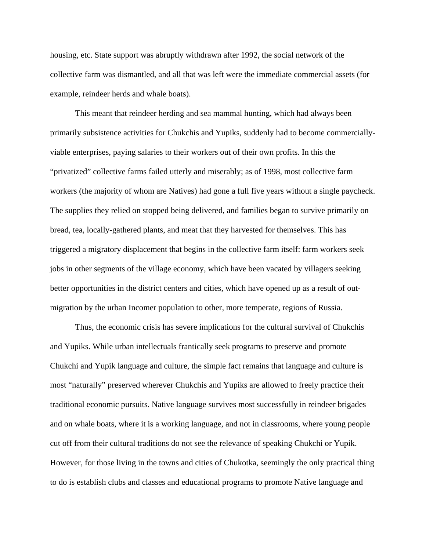housing, etc. State support was abruptly withdrawn after 1992, the social network of the collective farm was dismantled, and all that was left were the immediate commercial assets (for example, reindeer herds and whale boats).

This meant that reindeer herding and sea mammal hunting, which had always been primarily subsistence activities for Chukchis and Yupiks, suddenly had to become commerciallyviable enterprises, paying salaries to their workers out of their own profits. In this the "privatized" collective farms failed utterly and miserably; as of 1998, most collective farm workers (the majority of whom are Natives) had gone a full five years without a single paycheck. The supplies they relied on stopped being delivered, and families began to survive primarily on bread, tea, locally-gathered plants, and meat that they harvested for themselves. This has triggered a migratory displacement that begins in the collective farm itself: farm workers seek jobs in other segments of the village economy, which have been vacated by villagers seeking better opportunities in the district centers and cities, which have opened up as a result of outmigration by the urban Incomer population to other, more temperate, regions of Russia.

Thus, the economic crisis has severe implications for the cultural survival of Chukchis and Yupiks. While urban intellectuals frantically seek programs to preserve and promote Chukchi and Yupik language and culture, the simple fact remains that language and culture is most "naturally" preserved wherever Chukchis and Yupiks are allowed to freely practice their traditional economic pursuits. Native language survives most successfully in reindeer brigades and on whale boats, where it is a working language, and not in classrooms, where young people cut off from their cultural traditions do not see the relevance of speaking Chukchi or Yupik. However, for those living in the towns and cities of Chukotka, seemingly the only practical thing to do is establish clubs and classes and educational programs to promote Native language and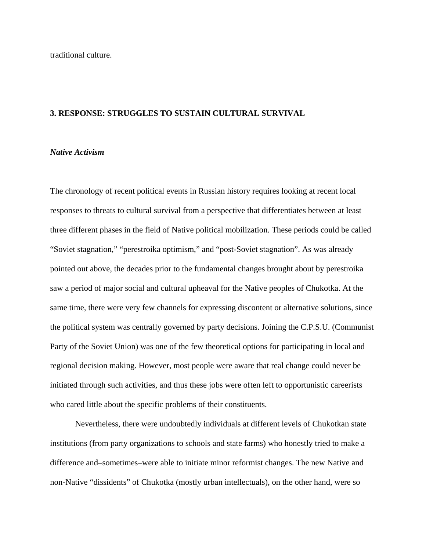traditional culture.

### **3. RESPONSE: STRUGGLES TO SUSTAIN CULTURAL SURVIVAL**

# *Native Activism*

The chronology of recent political events in Russian history requires looking at recent local responses to threats to cultural survival from a perspective that differentiates between at least three different phases in the field of Native political mobilization. These periods could be called "Soviet stagnation," "perestroika optimism," and "post-Soviet stagnation". As was already pointed out above, the decades prior to the fundamental changes brought about by perestroika saw a period of major social and cultural upheaval for the Native peoples of Chukotka. At the same time, there were very few channels for expressing discontent or alternative solutions, since the political system was centrally governed by party decisions. Joining the C.P.S.U. (Communist Party of the Soviet Union) was one of the few theoretical options for participating in local and regional decision making. However, most people were aware that real change could never be initiated through such activities, and thus these jobs were often left to opportunistic careerists who cared little about the specific problems of their constituents.

Nevertheless, there were undoubtedly individuals at different levels of Chukotkan state institutions (from party organizations to schools and state farms) who honestly tried to make a difference and–sometimes–were able to initiate minor reformist changes. The new Native and non-Native "dissidents" of Chukotka (mostly urban intellectuals), on the other hand, were so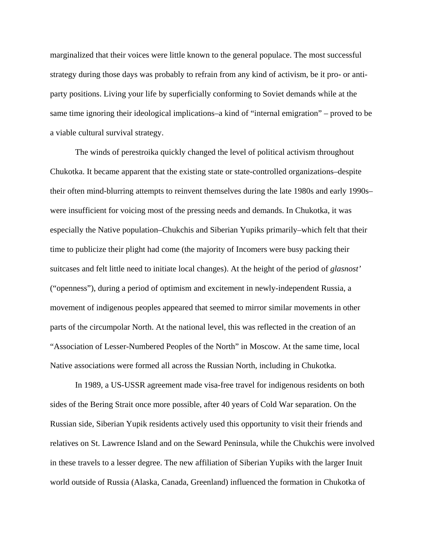marginalized that their voices were little known to the general populace. The most successful strategy during those days was probably to refrain from any kind of activism, be it pro- or antiparty positions. Living your life by superficially conforming to Soviet demands while at the same time ignoring their ideological implications–a kind of "internal emigration" – proved to be a viable cultural survival strategy.

The winds of perestroika quickly changed the level of political activism throughout Chukotka. It became apparent that the existing state or state-controlled organizations–despite their often mind-blurring attempts to reinvent themselves during the late 1980s and early 1990s– were insufficient for voicing most of the pressing needs and demands. In Chukotka, it was especially the Native population–Chukchis and Siberian Yupiks primarily–which felt that their time to publicize their plight had come (the majority of Incomers were busy packing their suitcases and felt little need to initiate local changes). At the height of the period of *glasnost'*  ("openness"), during a period of optimism and excitement in newly-independent Russia, a movement of indigenous peoples appeared that seemed to mirror similar movements in other parts of the circumpolar North. At the national level, this was reflected in the creation of an "Association of Lesser-Numbered Peoples of the North" in Moscow. At the same time, local Native associations were formed all across the Russian North, including in Chukotka.

In 1989, a US-USSR agreement made visa-free travel for indigenous residents on both sides of the Bering Strait once more possible, after 40 years of Cold War separation. On the Russian side, Siberian Yupik residents actively used this opportunity to visit their friends and relatives on St. Lawrence Island and on the Seward Peninsula, while the Chukchis were involved in these travels to a lesser degree. The new affiliation of Siberian Yupiks with the larger Inuit world outside of Russia (Alaska, Canada, Greenland) influenced the formation in Chukotka of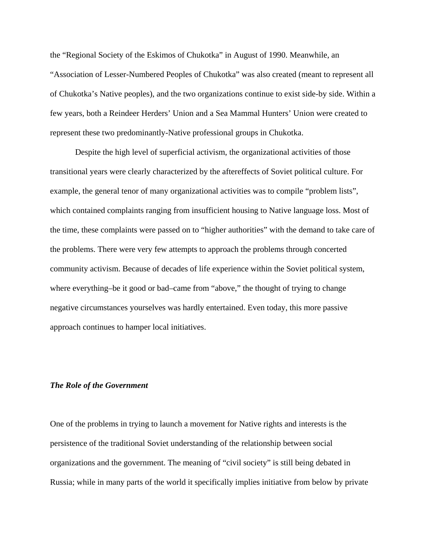the "Regional Society of the Eskimos of Chukotka" in August of 1990. Meanwhile, an "Association of Lesser-Numbered Peoples of Chukotka" was also created (meant to represent all of Chukotka's Native peoples), and the two organizations continue to exist side-by side. Within a few years, both a Reindeer Herders' Union and a Sea Mammal Hunters' Union were created to represent these two predominantly-Native professional groups in Chukotka.

Despite the high level of superficial activism, the organizational activities of those transitional years were clearly characterized by the aftereffects of Soviet political culture. For example, the general tenor of many organizational activities was to compile "problem lists", which contained complaints ranging from insufficient housing to Native language loss. Most of the time, these complaints were passed on to "higher authorities" with the demand to take care of the problems. There were very few attempts to approach the problems through concerted community activism. Because of decades of life experience within the Soviet political system, where everything–be it good or bad–came from "above," the thought of trying to change negative circumstances yourselves was hardly entertained. Even today, this more passive approach continues to hamper local initiatives.

### *The Role of the Government*

One of the problems in trying to launch a movement for Native rights and interests is the persistence of the traditional Soviet understanding of the relationship between social organizations and the government. The meaning of "civil society" is still being debated in Russia; while in many parts of the world it specifically implies initiative from below by private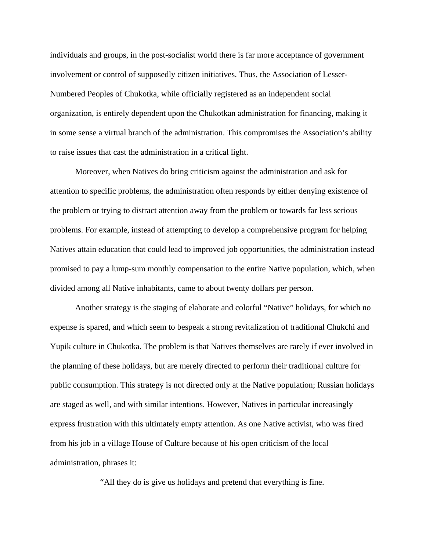individuals and groups, in the post-socialist world there is far more acceptance of government involvement or control of supposedly citizen initiatives. Thus, the Association of Lesser-Numbered Peoples of Chukotka, while officially registered as an independent social organization, is entirely dependent upon the Chukotkan administration for financing, making it in some sense a virtual branch of the administration. This compromises the Association's ability to raise issues that cast the administration in a critical light.

Moreover, when Natives do bring criticism against the administration and ask for attention to specific problems, the administration often responds by either denying existence of the problem or trying to distract attention away from the problem or towards far less serious problems. For example, instead of attempting to develop a comprehensive program for helping Natives attain education that could lead to improved job opportunities, the administration instead promised to pay a lump-sum monthly compensation to the entire Native population, which, when divided among all Native inhabitants, came to about twenty dollars per person.

Another strategy is the staging of elaborate and colorful "Native" holidays, for which no expense is spared, and which seem to bespeak a strong revitalization of traditional Chukchi and Yupik culture in Chukotka. The problem is that Natives themselves are rarely if ever involved in the planning of these holidays, but are merely directed to perform their traditional culture for public consumption. This strategy is not directed only at the Native population; Russian holidays are staged as well, and with similar intentions. However, Natives in particular increasingly express frustration with this ultimately empty attention. As one Native activist, who was fired from his job in a village House of Culture because of his open criticism of the local administration, phrases it:

"All they do is give us holidays and pretend that everything is fine.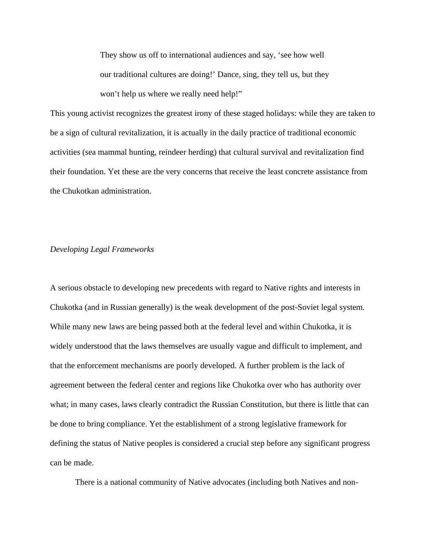They show us off to international audiences and say, 'see how well our traditional cultures are doing!' Dance, sing, they tell us, but they won't help us where we really need help!"

This young activist recognizes the greatest irony of these staged holidays: while they are taken to be a sign of cultural revitalization, it is actually in the daily practice of traditional economic activities (sea mammal hunting, reindeer herding) that cultural survival and revitalization find their foundation. Yet these are the very concerns that receive the least concrete assistance from the Chukotkan administration.

## *Developing Legal Frameworks*

A serious obstacle to developing new precedents with regard to Native rights and interests in Chukotka (and in Russian generally) is the weak development of the post-Soviet legal system. While many new laws are being passed both at the federal level and within Chukotka, it is widely understood that the laws themselves are usually vague and difficult to implement, and that the enforcement mechanisms are poorly developed. A further problem is the lack of agreement between the federal center and regions like Chukotka over who has authority over what; in many cases, laws clearly contradict the Russian Constitution, but there is little that can be done to bring compliance. Yet the establishment of a strong legislative framework for defining the status of Native peoples is considered a crucial step before any significant progress can be made.

There is a national community of Native advocates (including both Natives and non-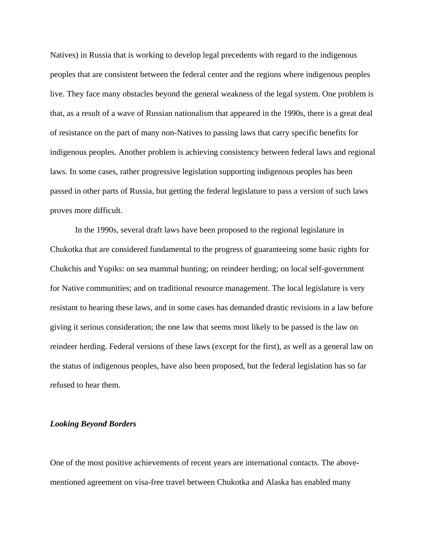Natives) in Russia that is working to develop legal precedents with regard to the indigenous peoples that are consistent between the federal center and the regions where indigenous peoples live. They face many obstacles beyond the general weakness of the legal system. One problem is that, as a result of a wave of Russian nationalism that appeared in the 1990s, there is a great deal of resistance on the part of many non-Natives to passing laws that carry specific benefits for indigenous peoples. Another problem is achieving consistency between federal laws and regional laws. In some cases, rather progressive legislation supporting indigenous peoples has been passed in other parts of Russia, but getting the federal legislature to pass a version of such laws proves more difficult.

In the 1990s, several draft laws have been proposed to the regional legislature in Chukotka that are considered fundamental to the progress of guaranteeing some basic rights for Chukchis and Yupiks: on sea mammal hunting; on reindeer herding; on local self-government for Native communities; and on traditional resource management. The local legislature is very resistant to hearing these laws, and in some cases has demanded drastic revisions in a law before giving it serious consideration; the one law that seems most likely to be passed is the law on reindeer herding. Federal versions of these laws (except for the first), as well as a general law on the status of indigenous peoples, have also been proposed, but the federal legislation has so far refused to hear them.

# *Looking Beyond Borders*

One of the most positive achievements of recent years are international contacts. The abovementioned agreement on visa-free travel between Chukotka and Alaska has enabled many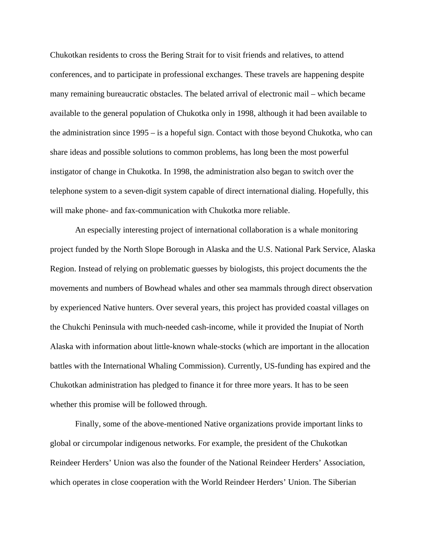Chukotkan residents to cross the Bering Strait for to visit friends and relatives, to attend conferences, and to participate in professional exchanges. These travels are happening despite many remaining bureaucratic obstacles. The belated arrival of electronic mail – which became available to the general population of Chukotka only in 1998, although it had been available to the administration since 1995 – is a hopeful sign. Contact with those beyond Chukotka, who can share ideas and possible solutions to common problems, has long been the most powerful instigator of change in Chukotka. In 1998, the administration also began to switch over the telephone system to a seven-digit system capable of direct international dialing. Hopefully, this will make phone- and fax-communication with Chukotka more reliable.

An especially interesting project of international collaboration is a whale monitoring project funded by the North Slope Borough in Alaska and the U.S. National Park Service, Alaska Region. Instead of relying on problematic guesses by biologists, this project documents the the movements and numbers of Bowhead whales and other sea mammals through direct observation by experienced Native hunters. Over several years, this project has provided coastal villages on the Chukchi Peninsula with much-needed cash-income, while it provided the Inupiat of North Alaska with information about little-known whale-stocks (which are important in the allocation battles with the International Whaling Commission). Currently, US-funding has expired and the Chukotkan administration has pledged to finance it for three more years. It has to be seen whether this promise will be followed through.

Finally, some of the above-mentioned Native organizations provide important links to global or circumpolar indigenous networks. For example, the president of the Chukotkan Reindeer Herders' Union was also the founder of the National Reindeer Herders' Association, which operates in close cooperation with the World Reindeer Herders' Union. The Siberian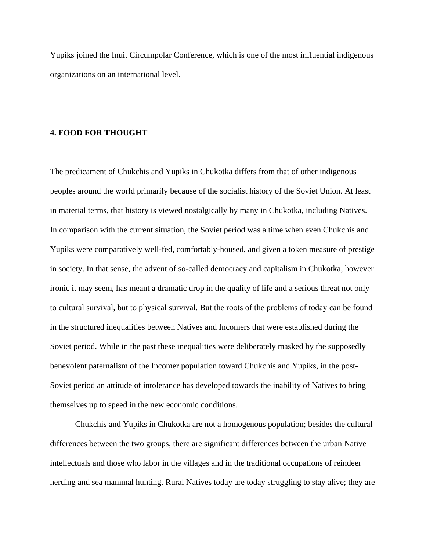Yupiks joined the Inuit Circumpolar Conference, which is one of the most influential indigenous organizations on an international level.

#### **4. FOOD FOR THOUGHT**

The predicament of Chukchis and Yupiks in Chukotka differs from that of other indigenous peoples around the world primarily because of the socialist history of the Soviet Union. At least in material terms, that history is viewed nostalgically by many in Chukotka, including Natives. In comparison with the current situation, the Soviet period was a time when even Chukchis and Yupiks were comparatively well-fed, comfortably-housed, and given a token measure of prestige in society. In that sense, the advent of so-called democracy and capitalism in Chukotka, however ironic it may seem, has meant a dramatic drop in the quality of life and a serious threat not only to cultural survival, but to physical survival. But the roots of the problems of today can be found in the structured inequalities between Natives and Incomers that were established during the Soviet period. While in the past these inequalities were deliberately masked by the supposedly benevolent paternalism of the Incomer population toward Chukchis and Yupiks, in the post-Soviet period an attitude of intolerance has developed towards the inability of Natives to bring themselves up to speed in the new economic conditions.

Chukchis and Yupiks in Chukotka are not a homogenous population; besides the cultural differences between the two groups, there are significant differences between the urban Native intellectuals and those who labor in the villages and in the traditional occupations of reindeer herding and sea mammal hunting. Rural Natives today are today struggling to stay alive; they are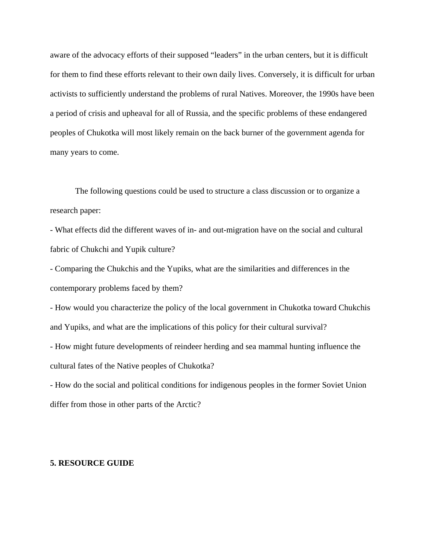aware of the advocacy efforts of their supposed "leaders" in the urban centers, but it is difficult for them to find these efforts relevant to their own daily lives. Conversely, it is difficult for urban activists to sufficiently understand the problems of rural Natives. Moreover, the 1990s have been a period of crisis and upheaval for all of Russia, and the specific problems of these endangered peoples of Chukotka will most likely remain on the back burner of the government agenda for many years to come.

The following questions could be used to structure a class discussion or to organize a research paper:

- What effects did the different waves of in- and out-migration have on the social and cultural fabric of Chukchi and Yupik culture?

- Comparing the Chukchis and the Yupiks, what are the similarities and differences in the contemporary problems faced by them?

- How would you characterize the policy of the local government in Chukotka toward Chukchis and Yupiks, and what are the implications of this policy for their cultural survival?

- How might future developments of reindeer herding and sea mammal hunting influence the cultural fates of the Native peoples of Chukotka?

- How do the social and political conditions for indigenous peoples in the former Soviet Union differ from those in other parts of the Arctic?

### **5. RESOURCE GUIDE**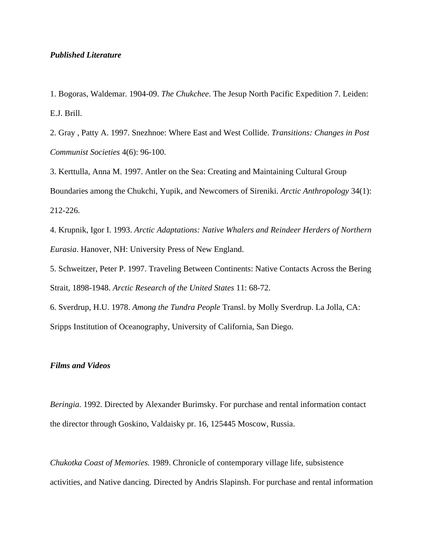# *Published Literature*

1. Bogoras, Waldemar. 1904-09. *The Chukchee*. The Jesup North Pacific Expedition 7. Leiden: E.J. Brill.

2. Gray , Patty A. 1997. Snezhnoe: Where East and West Collide. *Transitions: Changes in Post Communist Societies* 4(6): 96-100.

3. Kerttulla, Anna M. 1997. Antler on the Sea: Creating and Maintaining Cultural Group Boundaries among the Chukchi, Yupik, and Newcomers of Sireniki. *Arctic Anthropology* 34(1): 212-226.

4. Krupnik, Igor I. 1993. *Arctic Adaptations: Native Whalers and Reindeer Herders of Northern Eurasia*. Hanover, NH: University Press of New England.

5. Schweitzer, Peter P. 1997. Traveling Between Continents: Native Contacts Across the Bering Strait, 1898-1948. *Arctic Research of the United States* 11: 68-72.

6. Sverdrup, H.U. 1978. *Among the Tundra People* Transl. by Molly Sverdrup. La Jolla, CA: Sripps Institution of Oceanography, University of California, San Diego.

# *Films and Videos*

*Beringia.* 1992. Directed by Alexander Burimsky. For purchase and rental information contact the director through Goskino, Valdaisky pr. 16, 125445 Moscow, Russia.

*Chukotka Coast of Memories.* 1989. Chronicle of contemporary village life, subsistence activities, and Native dancing. Directed by Andris Slapinsh. For purchase and rental information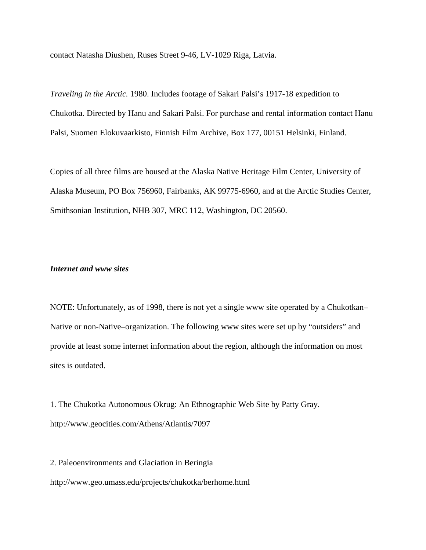contact Natasha Diushen, Ruses Street 9-46, LV-1029 Riga, Latvia.

*Traveling in the Arctic.* 1980. Includes footage of Sakari Palsi's 1917-18 expedition to Chukotka. Directed by Hanu and Sakari Palsi. For purchase and rental information contact Hanu Palsi, Suomen Elokuvaarkisto, Finnish Film Archive, Box 177, 00151 Helsinki, Finland.

Copies of all three films are housed at the Alaska Native Heritage Film Center, University of Alaska Museum, PO Box 756960, Fairbanks, AK 99775-6960, and at the Arctic Studies Center, Smithsonian Institution, NHB 307, MRC 112, Washington, DC 20560.

# *Internet and www sites*

NOTE: Unfortunately, as of 1998, there is not yet a single www site operated by a Chukotkan– Native or non-Native–organization. The following www sites were set up by "outsiders" and provide at least some internet information about the region, although the information on most sites is outdated.

1. The Chukotka Autonomous Okrug: An Ethnographic Web Site by Patty Gray. http://www.geocities.com/Athens/Atlantis/7097

2. Paleoenvironments and Glaciation in Beringia http://www.geo.umass.edu/projects/chukotka/berhome.html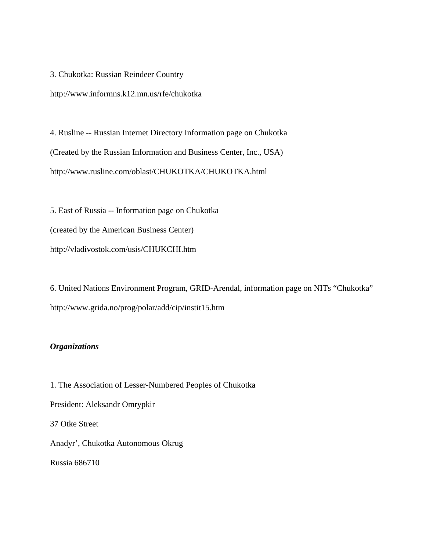3. Chukotka: Russian Reindeer Country

http://www.informns.k12.mn.us/rfe/chukotka

4. Rusline -- Russian Internet Directory Information page on Chukotka (Created by the Russian Information and Business Center, Inc., USA) http://www.rusline.com/oblast/CHUKOTKA/CHUKOTKA.html

5. East of Russia -- Information page on Chukotka (created by the American Business Center) http://vladivostok.com/usis/CHUKCHI.htm

6. United Nations Environment Program, GRID-Arendal, information page on NITs "Chukotka" http://www.grida.no/prog/polar/add/cip/instit15.htm

# *Organizations*

1. The Association of Lesser-Numbered Peoples of Chukotka President: Aleksandr Omrypkir 37 Otke Street Anadyr', Chukotka Autonomous Okrug Russia 686710